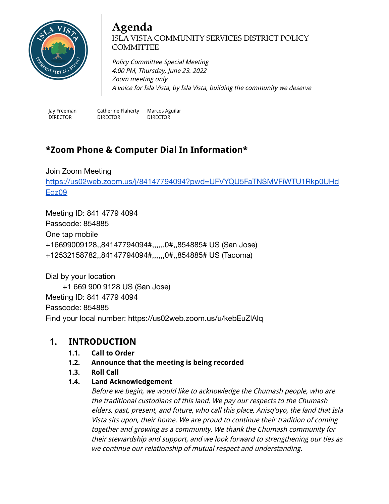

#### **Agenda** ISLA VISTA COMMUNITY SERVICES DISTRICT POLICY **COMMITTEE**

Policy Committee Special Meeting 4:00 PM, Thursday, June 23. 2022 Zoom meeting only A voice for Isla Vista, by Isla Vista, building the community we deserve

Jay Freeman DIRECTOR

Catherine Flaherty DIRECTOR Marcos Aguilar DIRECTOR

# **\*Zoom Phone & Computer Dial In Information\***

Join Zoom Meeting [https://us02web.zoom.us/j/84147794094?pwd=UFVYQU5FaTNSMVFiWTU1Rkp0UHd](https://us02web.zoom.us/j/84147794094?pwd=UFVYQU5FaTNSMVFiWTU1Rkp0UHdEdz09) [Edz09](https://us02web.zoom.us/j/84147794094?pwd=UFVYQU5FaTNSMVFiWTU1Rkp0UHdEdz09)

Meeting ID: 841 4779 4094 Passcode: 854885 One tap mobile +16699009128,,84147794094#,,,,,,0#,,854885# US (San Jose) +12532158782,,84147794094#,,,,,,0#,,854885# US (Tacoma)

Dial by your location +1 669 900 9128 US (San Jose) Meeting ID: 841 4779 4094 Passcode: 854885 Find your local number: https://us02web.zoom.us/u/kebEuZlAlq

### **1. INTRODUCTION**

- **1.1. Call to Order**
- **1.2. Announce that the meeting is being recorded**
- **1.3. Roll Call**

#### **1.4. Land Acknowledgement**

Before we begin, we would like to acknowledge the Chumash people, who are the traditional custodians of this land. We pay our respects to the Chumash elders, past, present, and future, who call this place, Anisq'oyo, the land that Isla Vista sits upon, their home. We are proud to continue their tradition of coming together and growing as <sup>a</sup> community. We thank the Chumash community for their stewardship and support, and we look forward to strengthening our ties as we continue our relationship of mutual respect and understanding.